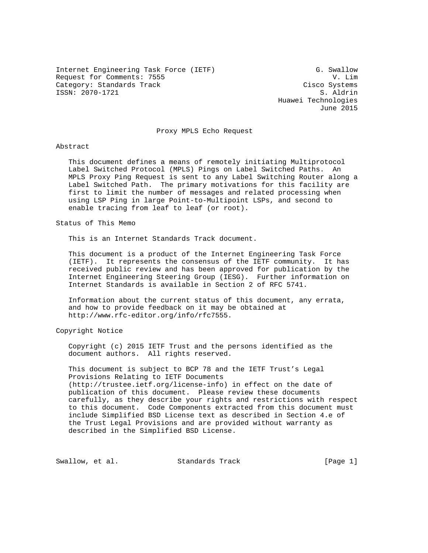Internet Engineering Task Force (IETF) G. Swallow Request for Comments: 7555 V. Lim Category: Standards Track Cisco Systems ISSN: 2070-1721 S. Aldrin

 Huawei Technologies June 2015

Proxy MPLS Echo Request

## Abstract

 This document defines a means of remotely initiating Multiprotocol Label Switched Protocol (MPLS) Pings on Label Switched Paths. An MPLS Proxy Ping Request is sent to any Label Switching Router along a Label Switched Path. The primary motivations for this facility are first to limit the number of messages and related processing when using LSP Ping in large Point-to-Multipoint LSPs, and second to enable tracing from leaf to leaf (or root).

Status of This Memo

This is an Internet Standards Track document.

 This document is a product of the Internet Engineering Task Force (IETF). It represents the consensus of the IETF community. It has received public review and has been approved for publication by the Internet Engineering Steering Group (IESG). Further information on Internet Standards is available in Section 2 of RFC 5741.

 Information about the current status of this document, any errata, and how to provide feedback on it may be obtained at http://www.rfc-editor.org/info/rfc7555.

Copyright Notice

 Copyright (c) 2015 IETF Trust and the persons identified as the document authors. All rights reserved.

 This document is subject to BCP 78 and the IETF Trust's Legal Provisions Relating to IETF Documents (http://trustee.ietf.org/license-info) in effect on the date of publication of this document. Please review these documents carefully, as they describe your rights and restrictions with respect to this document. Code Components extracted from this document must include Simplified BSD License text as described in Section 4.e of the Trust Legal Provisions and are provided without warranty as described in the Simplified BSD License.

Swallow, et al. Standards Track [Page 1]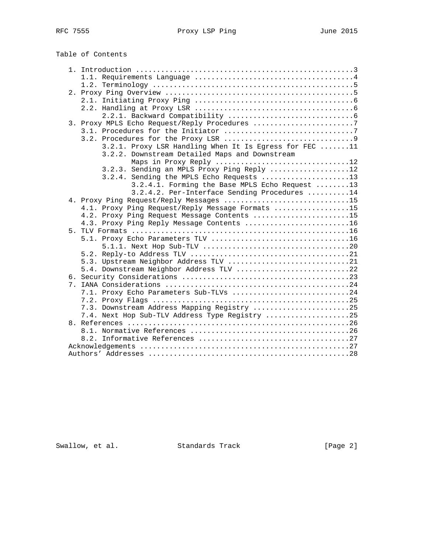|                | Table of Contents                                                                |  |
|----------------|----------------------------------------------------------------------------------|--|
|                |                                                                                  |  |
|                |                                                                                  |  |
|                |                                                                                  |  |
|                |                                                                                  |  |
|                |                                                                                  |  |
|                |                                                                                  |  |
|                | 3. Proxy MPLS Echo Request/Reply Procedures 7                                    |  |
|                |                                                                                  |  |
|                |                                                                                  |  |
|                | 3.2.1. Proxy LSR Handling When It Is Egress for FEC 11                           |  |
|                | 3.2.2. Downstream Detailed Maps and Downstream                                   |  |
|                | Maps in Proxy Reply 12                                                           |  |
|                | 3.2.3. Sending an MPLS Proxy Ping Reply 12                                       |  |
|                | 3.2.4. Sending the MPLS Echo Requests 13                                         |  |
|                | 3.2.4.1. Forming the Base MPLS Echo Request 13                                   |  |
|                | 3.2.4.2. Per-Interface Sending Procedures 14                                     |  |
|                | 4. Proxy Ping Request/Reply Messages 15                                          |  |
|                | 4.1. Proxy Ping Request/Reply Message Formats 15                                 |  |
|                | 4.2. Proxy Ping Request Message Contents 15                                      |  |
|                | 4.3. Proxy Ping Reply Message Contents 16                                        |  |
|                |                                                                                  |  |
|                |                                                                                  |  |
|                |                                                                                  |  |
|                |                                                                                  |  |
|                | 5.3. Upstream Neighbor Address TLV 21<br>5.4. Downstream Neighbor Address TLV 22 |  |
|                |                                                                                  |  |
| 7 <sup>1</sup> |                                                                                  |  |
|                | 7.1. Proxy Echo Parameters Sub-TLVs 24                                           |  |
|                |                                                                                  |  |
|                | 7.3. Downstream Address Mapping Registry 25                                      |  |
|                | 7.4. Next Hop Sub-TLV Address Type Registry 25                                   |  |
|                |                                                                                  |  |
|                |                                                                                  |  |
|                |                                                                                  |  |
|                |                                                                                  |  |
|                |                                                                                  |  |

Swallow, et al. Standards Track [Page 2]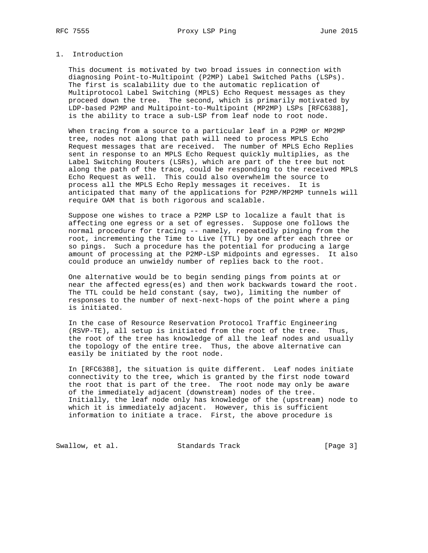# 1. Introduction

 This document is motivated by two broad issues in connection with diagnosing Point-to-Multipoint (P2MP) Label Switched Paths (LSPs). The first is scalability due to the automatic replication of Multiprotocol Label Switching (MPLS) Echo Request messages as they proceed down the tree. The second, which is primarily motivated by LDP-based P2MP and Multipoint-to-Multipoint (MP2MP) LSPs [RFC6388], is the ability to trace a sub-LSP from leaf node to root node.

 When tracing from a source to a particular leaf in a P2MP or MP2MP tree, nodes not along that path will need to process MPLS Echo Request messages that are received. The number of MPLS Echo Replies sent in response to an MPLS Echo Request quickly multiplies, as the Label Switching Routers (LSRs), which are part of the tree but not along the path of the trace, could be responding to the received MPLS Echo Request as well. This could also overwhelm the source to process all the MPLS Echo Reply messages it receives. It is anticipated that many of the applications for P2MP/MP2MP tunnels will require OAM that is both rigorous and scalable.

 Suppose one wishes to trace a P2MP LSP to localize a fault that is affecting one egress or a set of egresses. Suppose one follows the normal procedure for tracing -- namely, repeatedly pinging from the root, incrementing the Time to Live (TTL) by one after each three or so pings. Such a procedure has the potential for producing a large amount of processing at the P2MP-LSP midpoints and egresses. It also could produce an unwieldy number of replies back to the root.

 One alternative would be to begin sending pings from points at or near the affected egress(es) and then work backwards toward the root. The TTL could be held constant (say, two), limiting the number of responses to the number of next-next-hops of the point where a ping is initiated.

 In the case of Resource Reservation Protocol Traffic Engineering (RSVP-TE), all setup is initiated from the root of the tree. Thus, the root of the tree has knowledge of all the leaf nodes and usually the topology of the entire tree. Thus, the above alternative can easily be initiated by the root node.

 In [RFC6388], the situation is quite different. Leaf nodes initiate connectivity to the tree, which is granted by the first node toward the root that is part of the tree. The root node may only be aware of the immediately adjacent (downstream) nodes of the tree. Initially, the leaf node only has knowledge of the (upstream) node to which it is immediately adjacent. However, this is sufficient information to initiate a trace. First, the above procedure is

Swallow, et al. Standards Track [Page 3]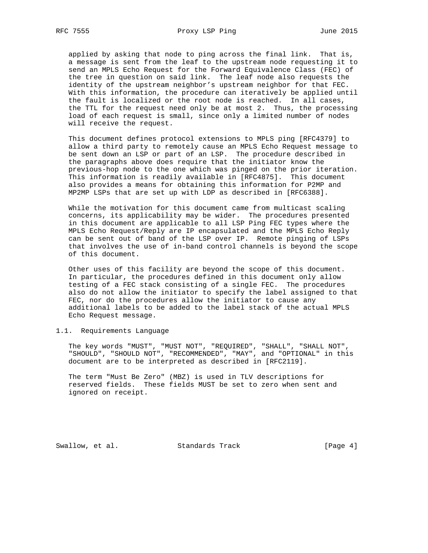applied by asking that node to ping across the final link. That is, a message is sent from the leaf to the upstream node requesting it to send an MPLS Echo Request for the Forward Equivalence Class (FEC) of the tree in question on said link. The leaf node also requests the identity of the upstream neighbor's upstream neighbor for that FEC. With this information, the procedure can iteratively be applied until the fault is localized or the root node is reached. In all cases, the TTL for the request need only be at most 2. Thus, the processing load of each request is small, since only a limited number of nodes will receive the request.

 This document defines protocol extensions to MPLS ping [RFC4379] to allow a third party to remotely cause an MPLS Echo Request message to be sent down an LSP or part of an LSP. The procedure described in the paragraphs above does require that the initiator know the previous-hop node to the one which was pinged on the prior iteration. This information is readily available in [RFC4875]. This document also provides a means for obtaining this information for P2MP and MP2MP LSPs that are set up with LDP as described in [RFC6388].

 While the motivation for this document came from multicast scaling concerns, its applicability may be wider. The procedures presented in this document are applicable to all LSP Ping FEC types where the MPLS Echo Request/Reply are IP encapsulated and the MPLS Echo Reply can be sent out of band of the LSP over IP. Remote pinging of LSPs that involves the use of in-band control channels is beyond the scope of this document.

 Other uses of this facility are beyond the scope of this document. In particular, the procedures defined in this document only allow testing of a FEC stack consisting of a single FEC. The procedures also do not allow the initiator to specify the label assigned to that FEC, nor do the procedures allow the initiator to cause any additional labels to be added to the label stack of the actual MPLS Echo Request message.

# 1.1. Requirements Language

 The key words "MUST", "MUST NOT", "REQUIRED", "SHALL", "SHALL NOT", "SHOULD", "SHOULD NOT", "RECOMMENDED", "MAY", and "OPTIONAL" in this document are to be interpreted as described in [RFC2119].

 The term "Must Be Zero" (MBZ) is used in TLV descriptions for reserved fields. These fields MUST be set to zero when sent and ignored on receipt.

Swallow, et al. Standards Track [Page 4]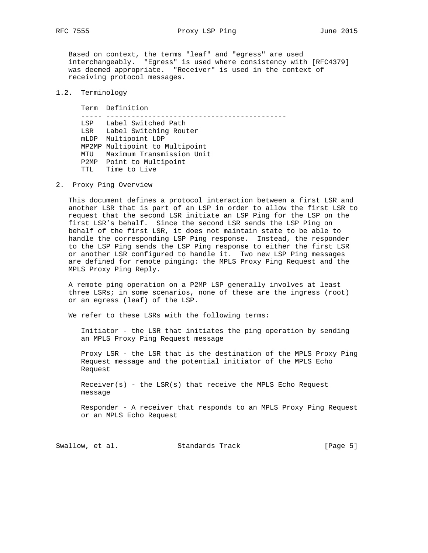Based on context, the terms "leaf" and "egress" are used interchangeably. "Egress" is used where consistency with [RFC4379] was deemed appropriate. "Receiver" is used in the context of receiving protocol messages.

## 1.2. Terminology

 Term Definition ----- ------------------------------------------- LSP Label Switched Path LSR Label Switching Router mLDP Multipoint LDP MP2MP Multipoint to Multipoint MTU Maximum Transmission Unit P2MP Point to Multipoint TTL Time to Live

2. Proxy Ping Overview

 This document defines a protocol interaction between a first LSR and another LSR that is part of an LSP in order to allow the first LSR to request that the second LSR initiate an LSP Ping for the LSP on the first LSR's behalf. Since the second LSR sends the LSP Ping on behalf of the first LSR, it does not maintain state to be able to handle the corresponding LSP Ping response. Instead, the responder to the LSP Ping sends the LSP Ping response to either the first LSR or another LSR configured to handle it. Two new LSP Ping messages are defined for remote pinging: the MPLS Proxy Ping Request and the MPLS Proxy Ping Reply.

 A remote ping operation on a P2MP LSP generally involves at least three LSRs; in some scenarios, none of these are the ingress (root) or an egress (leaf) of the LSP.

We refer to these LSRs with the following terms:

 Initiator - the LSR that initiates the ping operation by sending an MPLS Proxy Ping Request message

 Proxy LSR - the LSR that is the destination of the MPLS Proxy Ping Request message and the potential initiator of the MPLS Echo Request

 $Receiver(s)$  - the LSR(s) that receive the MPLS Echo Request message

 Responder - A receiver that responds to an MPLS Proxy Ping Request or an MPLS Echo Request

Swallow, et al. Standards Track [Page 5]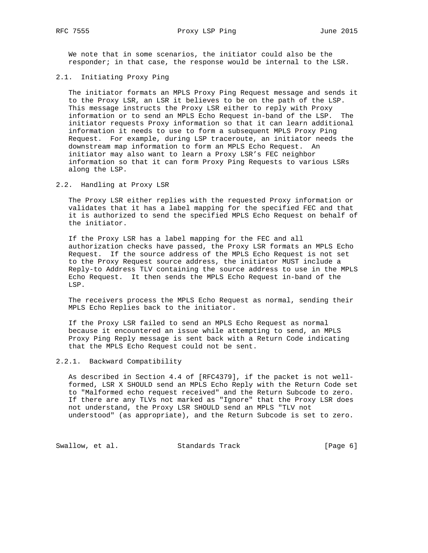We note that in some scenarios, the initiator could also be the responder; in that case, the response would be internal to the LSR.

## 2.1. Initiating Proxy Ping

 The initiator formats an MPLS Proxy Ping Request message and sends it to the Proxy LSR, an LSR it believes to be on the path of the LSP. This message instructs the Proxy LSR either to reply with Proxy information or to send an MPLS Echo Request in-band of the LSP. The initiator requests Proxy information so that it can learn additional information it needs to use to form a subsequent MPLS Proxy Ping Request. For example, during LSP traceroute, an initiator needs the downstream map information to form an MPLS Echo Request. An initiator may also want to learn a Proxy LSR's FEC neighbor information so that it can form Proxy Ping Requests to various LSRs along the LSP.

## 2.2. Handling at Proxy LSR

 The Proxy LSR either replies with the requested Proxy information or validates that it has a label mapping for the specified FEC and that it is authorized to send the specified MPLS Echo Request on behalf of the initiator.

 If the Proxy LSR has a label mapping for the FEC and all authorization checks have passed, the Proxy LSR formats an MPLS Echo Request. If the source address of the MPLS Echo Request is not set to the Proxy Request source address, the initiator MUST include a Reply-to Address TLV containing the source address to use in the MPLS Echo Request. It then sends the MPLS Echo Request in-band of the LSP.

 The receivers process the MPLS Echo Request as normal, sending their MPLS Echo Replies back to the initiator.

 If the Proxy LSR failed to send an MPLS Echo Request as normal because it encountered an issue while attempting to send, an MPLS Proxy Ping Reply message is sent back with a Return Code indicating that the MPLS Echo Request could not be sent.

## 2.2.1. Backward Compatibility

 As described in Section 4.4 of [RFC4379], if the packet is not well formed, LSR X SHOULD send an MPLS Echo Reply with the Return Code set to "Malformed echo request received" and the Return Subcode to zero. If there are any TLVs not marked as "Ignore" that the Proxy LSR does not understand, the Proxy LSR SHOULD send an MPLS "TLV not understood" (as appropriate), and the Return Subcode is set to zero.

Swallow, et al. Standards Track [Page 6]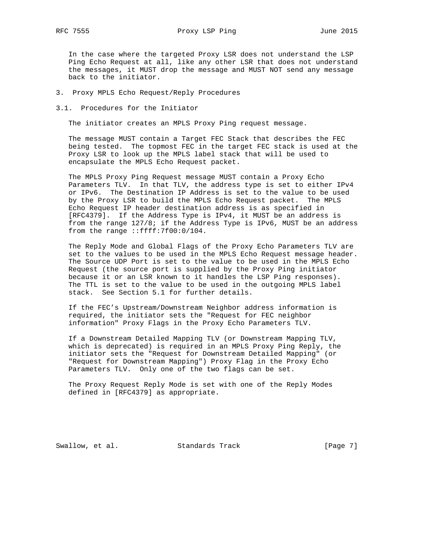In the case where the targeted Proxy LSR does not understand the LSP Ping Echo Request at all, like any other LSR that does not understand the messages, it MUST drop the message and MUST NOT send any message back to the initiator.

3. Proxy MPLS Echo Request/Reply Procedures

3.1. Procedures for the Initiator

The initiator creates an MPLS Proxy Ping request message.

 The message MUST contain a Target FEC Stack that describes the FEC being tested. The topmost FEC in the target FEC stack is used at the Proxy LSR to look up the MPLS label stack that will be used to encapsulate the MPLS Echo Request packet.

 The MPLS Proxy Ping Request message MUST contain a Proxy Echo Parameters TLV. In that TLV, the address type is set to either IPv4 or IPv6. The Destination IP Address is set to the value to be used by the Proxy LSR to build the MPLS Echo Request packet. The MPLS Echo Request IP header destination address is as specified in [RFC4379]. If the Address Type is IPv4, it MUST be an address is from the range 127/8; if the Address Type is IPv6, MUST be an address from the range ::ffff:7f00:0/104.

 The Reply Mode and Global Flags of the Proxy Echo Parameters TLV are set to the values to be used in the MPLS Echo Request message header. The Source UDP Port is set to the value to be used in the MPLS Echo Request (the source port is supplied by the Proxy Ping initiator because it or an LSR known to it handles the LSP Ping responses). The TTL is set to the value to be used in the outgoing MPLS label stack. See Section 5.1 for further details.

 If the FEC's Upstream/Downstream Neighbor address information is required, the initiator sets the "Request for FEC neighbor information" Proxy Flags in the Proxy Echo Parameters TLV.

 If a Downstream Detailed Mapping TLV (or Downstream Mapping TLV, which is deprecated) is required in an MPLS Proxy Ping Reply, the initiator sets the "Request for Downstream Detailed Mapping" (or "Request for Downstream Mapping") Proxy Flag in the Proxy Echo Parameters TLV. Only one of the two flags can be set.

 The Proxy Request Reply Mode is set with one of the Reply Modes defined in [RFC4379] as appropriate.

Swallow, et al. Standards Track [Page 7]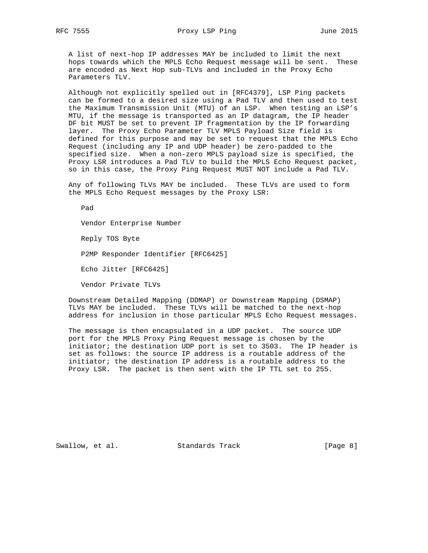A list of next-hop IP addresses MAY be included to limit the next hops towards which the MPLS Echo Request message will be sent. These are encoded as Next Hop sub-TLVs and included in the Proxy Echo Parameters TLV.

 Although not explicitly spelled out in [RFC4379], LSP Ping packets can be formed to a desired size using a Pad TLV and then used to test the Maximum Transmission Unit (MTU) of an LSP. When testing an LSP's MTU, if the message is transported as an IP datagram, the IP header DF bit MUST be set to prevent IP fragmentation by the IP forwarding layer. The Proxy Echo Parameter TLV MPLS Payload Size field is defined for this purpose and may be set to request that the MPLS Echo Request (including any IP and UDP header) be zero-padded to the specified size. When a non-zero MPLS payload size is specified, the Proxy LSR introduces a Pad TLV to build the MPLS Echo Request packet, so in this case, the Proxy Ping Request MUST NOT include a Pad TLV.

 Any of following TLVs MAY be included. These TLVs are used to form the MPLS Echo Request messages by the Proxy LSR:

Vendor Enterprise Number

Reply TOS Byte

Pad

P2MP Responder Identifier [RFC6425]

Echo Jitter [RFC6425]

Vendor Private TLVs

 Downstream Detailed Mapping (DDMAP) or Downstream Mapping (DSMAP) TLVs MAY be included. These TLVs will be matched to the next-hop address for inclusion in those particular MPLS Echo Request messages.

 The message is then encapsulated in a UDP packet. The source UDP port for the MPLS Proxy Ping Request message is chosen by the initiator; the destination UDP port is set to 3503. The IP header is set as follows: the source IP address is a routable address of the initiator; the destination IP address is a routable address to the Proxy LSR. The packet is then sent with the IP TTL set to 255.

Swallow, et al. Standards Track [Page 8]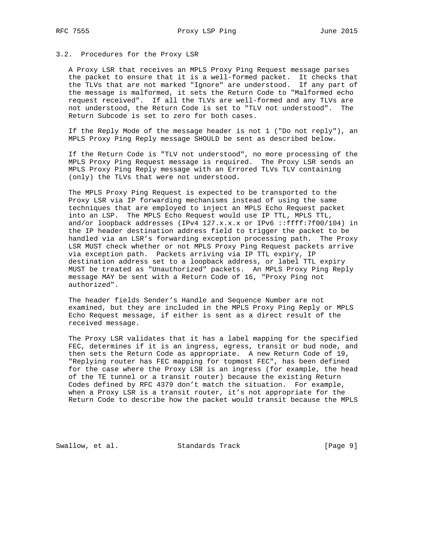## 3.2. Procedures for the Proxy LSR

 A Proxy LSR that receives an MPLS Proxy Ping Request message parses the packet to ensure that it is a well-formed packet. It checks that the TLVs that are not marked "Ignore" are understood. If any part of the message is malformed, it sets the Return Code to "Malformed echo request received". If all the TLVs are well-formed and any TLVs are not understood, the Return Code is set to "TLV not understood". The Return Subcode is set to zero for both cases.

 If the Reply Mode of the message header is not 1 ("Do not reply"), an MPLS Proxy Ping Reply message SHOULD be sent as described below.

 If the Return Code is "TLV not understood", no more processing of the MPLS Proxy Ping Request message is required. The Proxy LSR sends an MPLS Proxy Ping Reply message with an Errored TLVs TLV containing (only) the TLVs that were not understood.

 The MPLS Proxy Ping Request is expected to be transported to the Proxy LSR via IP forwarding mechanisms instead of using the same techniques that are employed to inject an MPLS Echo Request packet into an LSP. The MPLS Echo Request would use IP TTL, MPLS TTL, and/or loopback addresses (IPv4  $127.x.x.x$  or IPv6 ::ffff:7f00/104) in the IP header destination address field to trigger the packet to be handled via an LSR's forwarding exception processing path. The Proxy LSR MUST check whether or not MPLS Proxy Ping Request packets arrive via exception path. Packets arriving via IP TTL expiry, IP destination address set to a loopback address, or label TTL expiry MUST be treated as "Unauthorized" packets. An MPLS Proxy Ping Reply message MAY be sent with a Return Code of 16, "Proxy Ping not authorized".

 The header fields Sender's Handle and Sequence Number are not examined, but they are included in the MPLS Proxy Ping Reply or MPLS Echo Request message, if either is sent as a direct result of the received message.

 The Proxy LSR validates that it has a label mapping for the specified FEC, determines if it is an ingress, egress, transit or bud node, and then sets the Return Code as appropriate. A new Return Code of 19, "Replying router has FEC mapping for topmost FEC", has been defined for the case where the Proxy LSR is an ingress (for example, the head of the TE tunnel or a transit router) because the existing Return Codes defined by RFC 4379 don't match the situation. For example, when a Proxy LSR is a transit router, it's not appropriate for the Return Code to describe how the packet would transit because the MPLS

Swallow, et al. Standards Track [Page 9]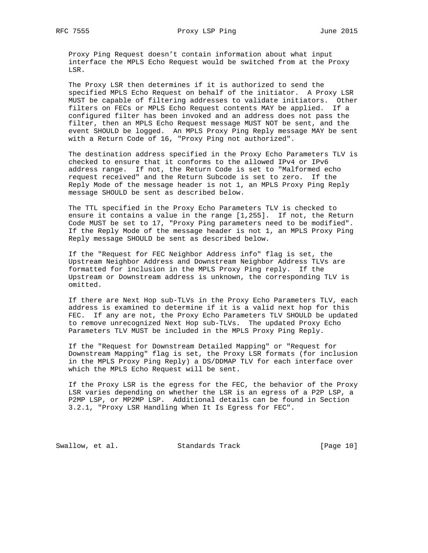Proxy Ping Request doesn't contain information about what input interface the MPLS Echo Request would be switched from at the Proxy LSR.

 The Proxy LSR then determines if it is authorized to send the specified MPLS Echo Request on behalf of the initiator. A Proxy LSR MUST be capable of filtering addresses to validate initiators. Other filters on FECs or MPLS Echo Request contents MAY be applied. If a configured filter has been invoked and an address does not pass the filter, then an MPLS Echo Request message MUST NOT be sent, and the event SHOULD be logged. An MPLS Proxy Ping Reply message MAY be sent with a Return Code of 16, "Proxy Ping not authorized".

 The destination address specified in the Proxy Echo Parameters TLV is checked to ensure that it conforms to the allowed IPv4 or IPv6 address range. If not, the Return Code is set to "Malformed echo request received" and the Return Subcode is set to zero. If the Reply Mode of the message header is not 1, an MPLS Proxy Ping Reply message SHOULD be sent as described below.

 The TTL specified in the Proxy Echo Parameters TLV is checked to ensure it contains a value in the range [1,255]. If not, the Return Code MUST be set to 17, "Proxy Ping parameters need to be modified". If the Reply Mode of the message header is not 1, an MPLS Proxy Ping Reply message SHOULD be sent as described below.

 If the "Request for FEC Neighbor Address info" flag is set, the Upstream Neighbor Address and Downstream Neighbor Address TLVs are formatted for inclusion in the MPLS Proxy Ping reply. If the Upstream or Downstream address is unknown, the corresponding TLV is omitted.

 If there are Next Hop sub-TLVs in the Proxy Echo Parameters TLV, each address is examined to determine if it is a valid next hop for this FEC. If any are not, the Proxy Echo Parameters TLV SHOULD be updated to remove unrecognized Next Hop sub-TLVs. The updated Proxy Echo Parameters TLV MUST be included in the MPLS Proxy Ping Reply.

 If the "Request for Downstream Detailed Mapping" or "Request for Downstream Mapping" flag is set, the Proxy LSR formats (for inclusion in the MPLS Proxy Ping Reply) a DS/DDMAP TLV for each interface over which the MPLS Echo Request will be sent.

 If the Proxy LSR is the egress for the FEC, the behavior of the Proxy LSR varies depending on whether the LSR is an egress of a P2P LSP, a P2MP LSP, or MP2MP LSP. Additional details can be found in Section 3.2.1, "Proxy LSR Handling When It Is Egress for FEC".

Swallow, et al. Standards Track [Page 10]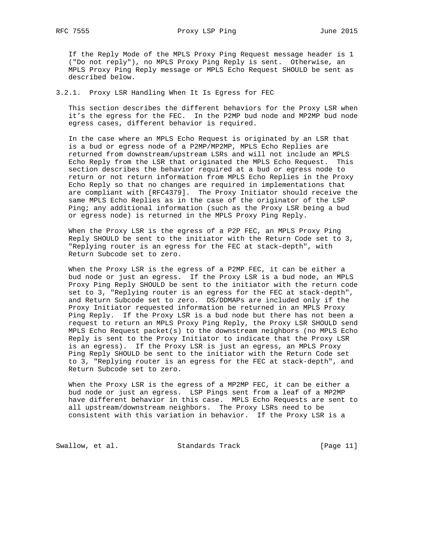If the Reply Mode of the MPLS Proxy Ping Request message header is 1 ("Do not reply"), no MPLS Proxy Ping Reply is sent. Otherwise, an MPLS Proxy Ping Reply message or MPLS Echo Request SHOULD be sent as described below.

3.2.1. Proxy LSR Handling When It Is Egress for FEC

 This section describes the different behaviors for the Proxy LSR when it's the egress for the FEC. In the P2MP bud node and MP2MP bud node egress cases, different behavior is required.

 In the case where an MPLS Echo Request is originated by an LSR that is a bud or egress node of a P2MP/MP2MP, MPLS Echo Replies are returned from downstream/upstream LSRs and will not include an MPLS Echo Reply from the LSR that originated the MPLS Echo Request. This section describes the behavior required at a bud or egress node to return or not return information from MPLS Echo Replies in the Proxy Echo Reply so that no changes are required in implementations that are compliant with [RFC4379]. The Proxy Initiator should receive the same MPLS Echo Replies as in the case of the originator of the LSP Ping; any additional information (such as the Proxy LSR being a bud or egress node) is returned in the MPLS Proxy Ping Reply.

 When the Proxy LSR is the egress of a P2P FEC, an MPLS Proxy Ping Reply SHOULD be sent to the initiator with the Return Code set to 3, "Replying router is an egress for the FEC at stack-depth", with Return Subcode set to zero.

 When the Proxy LSR is the egress of a P2MP FEC, it can be either a bud node or just an egress. If the Proxy LSR is a bud node, an MPLS Proxy Ping Reply SHOULD be sent to the initiator with the return code set to 3, "Replying router is an egress for the FEC at stack-depth", and Return Subcode set to zero. DS/DDMAPs are included only if the Proxy Initiator requested information be returned in an MPLS Proxy Ping Reply. If the Proxy LSR is a bud node but there has not been a request to return an MPLS Proxy Ping Reply, the Proxy LSR SHOULD send MPLS Echo Request packet(s) to the downstream neighbors (no MPLS Echo Reply is sent to the Proxy Initiator to indicate that the Proxy LSR is an egress). If the Proxy LSR is just an egress, an MPLS Proxy Ping Reply SHOULD be sent to the initiator with the Return Code set to 3, "Replying router is an egress for the FEC at stack-depth", and Return Subcode set to zero.

 When the Proxy LSR is the egress of a MP2MP FEC, it can be either a bud node or just an egress. LSP Pings sent from a leaf of a MP2MP have different behavior in this case. MPLS Echo Requests are sent to all upstream/downstream neighbors. The Proxy LSRs need to be consistent with this variation in behavior. If the Proxy LSR is a

Swallow, et al. Standards Track [Page 11]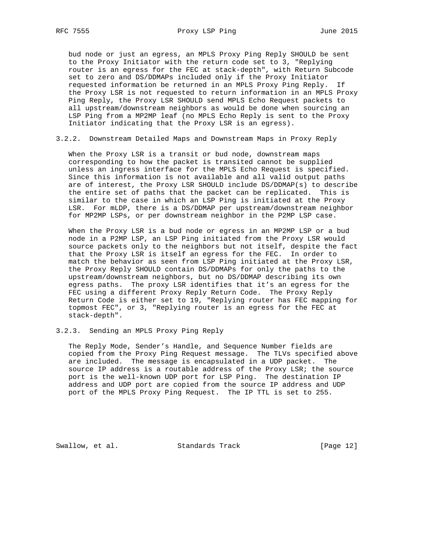bud node or just an egress, an MPLS Proxy Ping Reply SHOULD be sent to the Proxy Initiator with the return code set to 3, "Replying router is an egress for the FEC at stack-depth", with Return Subcode set to zero and DS/DDMAPs included only if the Proxy Initiator requested information be returned in an MPLS Proxy Ping Reply. If the Proxy LSR is not requested to return information in an MPLS Proxy Ping Reply, the Proxy LSR SHOULD send MPLS Echo Request packets to all upstream/downstream neighbors as would be done when sourcing an LSP Ping from a MP2MP leaf (no MPLS Echo Reply is sent to the Proxy Initiator indicating that the Proxy LSR is an egress).

3.2.2. Downstream Detailed Maps and Downstream Maps in Proxy Reply

 When the Proxy LSR is a transit or bud node, downstream maps corresponding to how the packet is transited cannot be supplied unless an ingress interface for the MPLS Echo Request is specified. Since this information is not available and all valid output paths are of interest, the Proxy LSR SHOULD include DS/DDMAP(s) to describe the entire set of paths that the packet can be replicated. This is similar to the case in which an LSP Ping is initiated at the Proxy LSR. For mLDP, there is a DS/DDMAP per upstream/downstream neighbor for MP2MP LSPs, or per downstream neighbor in the P2MP LSP case.

 When the Proxy LSR is a bud node or egress in an MP2MP LSP or a bud node in a P2MP LSP, an LSP Ping initiated from the Proxy LSR would source packets only to the neighbors but not itself, despite the fact that the Proxy LSR is itself an egress for the FEC. In order to match the behavior as seen from LSP Ping initiated at the Proxy LSR, the Proxy Reply SHOULD contain DS/DDMAPs for only the paths to the upstream/downstream neighbors, but no DS/DDMAP describing its own egress paths. The proxy LSR identifies that it's an egress for the FEC using a different Proxy Reply Return Code. The Proxy Reply Return Code is either set to 19, "Replying router has FEC mapping for topmost FEC", or 3, "Replying router is an egress for the FEC at stack-depth".

3.2.3. Sending an MPLS Proxy Ping Reply

 The Reply Mode, Sender's Handle, and Sequence Number fields are copied from the Proxy Ping Request message. The TLVs specified above are included. The message is encapsulated in a UDP packet. The source IP address is a routable address of the Proxy LSR; the source port is the well-known UDP port for LSP Ping. The destination IP address and UDP port are copied from the source IP address and UDP port of the MPLS Proxy Ping Request. The IP TTL is set to 255.

Swallow, et al. Standards Track [Page 12]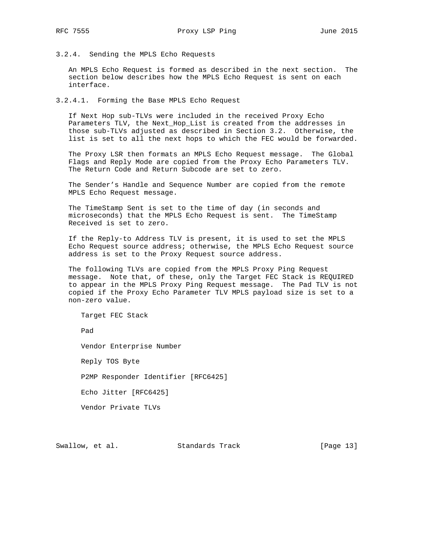3.2.4. Sending the MPLS Echo Requests

 An MPLS Echo Request is formed as described in the next section. The section below describes how the MPLS Echo Request is sent on each interface.

3.2.4.1. Forming the Base MPLS Echo Request

 If Next Hop sub-TLVs were included in the received Proxy Echo Parameters TLV, the Next\_Hop\_List is created from the addresses in those sub-TLVs adjusted as described in Section 3.2. Otherwise, the list is set to all the next hops to which the FEC would be forwarded.

 The Proxy LSR then formats an MPLS Echo Request message. The Global Flags and Reply Mode are copied from the Proxy Echo Parameters TLV. The Return Code and Return Subcode are set to zero.

 The Sender's Handle and Sequence Number are copied from the remote MPLS Echo Request message.

 The TimeStamp Sent is set to the time of day (in seconds and microseconds) that the MPLS Echo Request is sent. The TimeStamp Received is set to zero.

 If the Reply-to Address TLV is present, it is used to set the MPLS Echo Request source address; otherwise, the MPLS Echo Request source address is set to the Proxy Request source address.

 The following TLVs are copied from the MPLS Proxy Ping Request message. Note that, of these, only the Target FEC Stack is REQUIRED to appear in the MPLS Proxy Ping Request message. The Pad TLV is not copied if the Proxy Echo Parameter TLV MPLS payload size is set to a non-zero value.

Target FEC Stack

Pad

Vendor Enterprise Number

Reply TOS Byte

P2MP Responder Identifier [RFC6425]

Echo Jitter [RFC6425]

Vendor Private TLVs

Swallow, et al. Standards Track [Page 13]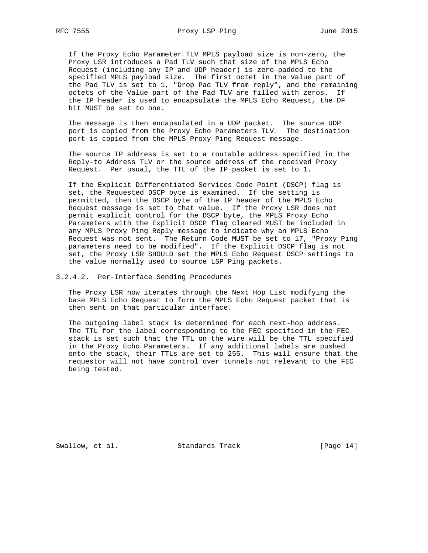If the Proxy Echo Parameter TLV MPLS payload size is non-zero, the Proxy LSR introduces a Pad TLV such that size of the MPLS Echo Request (including any IP and UDP header) is zero-padded to the specified MPLS payload size. The first octet in the Value part of the Pad TLV is set to 1, "Drop Pad TLV from reply", and the remaining octets of the Value part of the Pad TLV are filled with zeros. If the IP header is used to encapsulate the MPLS Echo Request, the DF bit MUST be set to one.

 The message is then encapsulated in a UDP packet. The source UDP port is copied from the Proxy Echo Parameters TLV. The destination port is copied from the MPLS Proxy Ping Request message.

 The source IP address is set to a routable address specified in the Reply-to Address TLV or the source address of the received Proxy Request. Per usual, the TTL of the IP packet is set to 1.

 If the Explicit Differentiated Services Code Point (DSCP) flag is set, the Requested DSCP byte is examined. If the setting is permitted, then the DSCP byte of the IP header of the MPLS Echo Request message is set to that value. If the Proxy LSR does not permit explicit control for the DSCP byte, the MPLS Proxy Echo Parameters with the Explicit DSCP flag cleared MUST be included in any MPLS Proxy Ping Reply message to indicate why an MPLS Echo Request was not sent. The Return Code MUST be set to 17, "Proxy Ping parameters need to be modified". If the Explicit DSCP flag is not set, the Proxy LSR SHOULD set the MPLS Echo Request DSCP settings to the value normally used to source LSP Ping packets.

3.2.4.2. Per-Interface Sending Procedures

 The Proxy LSR now iterates through the Next\_Hop\_List modifying the base MPLS Echo Request to form the MPLS Echo Request packet that is then sent on that particular interface.

 The outgoing label stack is determined for each next-hop address. The TTL for the label corresponding to the FEC specified in the FEC stack is set such that the TTL on the wire will be the TTL specified in the Proxy Echo Parameters. If any additional labels are pushed onto the stack, their TTLs are set to 255. This will ensure that the requestor will not have control over tunnels not relevant to the FEC being tested.

Swallow, et al. Standards Track [Page 14]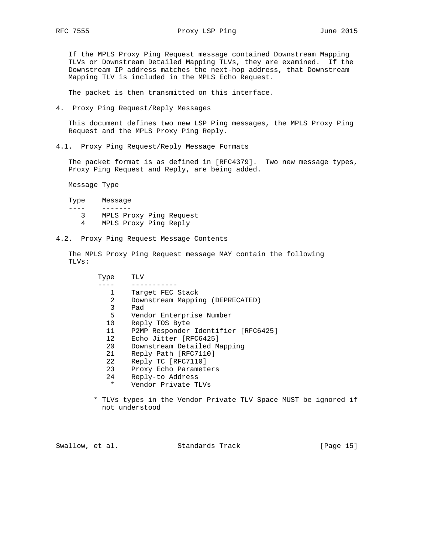If the MPLS Proxy Ping Request message contained Downstream Mapping TLVs or Downstream Detailed Mapping TLVs, they are examined. If the Downstream IP address matches the next-hop address, that Downstream Mapping TLV is included in the MPLS Echo Request.

The packet is then transmitted on this interface.

4. Proxy Ping Request/Reply Messages

 This document defines two new LSP Ping messages, the MPLS Proxy Ping Request and the MPLS Proxy Ping Reply.

4.1. Proxy Ping Request/Reply Message Formats

 The packet format is as defined in [RFC4379]. Two new message types, Proxy Ping Request and Reply, are being added.

Message Type

| Type | Message |
|------|---------|
|      |         |

- 3 MPLS Proxy Ping Request
- 4 MPLS Proxy Ping Reply
- 4.2. Proxy Ping Request Message Contents

 The MPLS Proxy Ping Request message MAY contain the following TLVs:

| л   | V   |
|-----|-----|
| vne | ш   |
| T.  | r   |
|     | . . |

| 1               | Target FEC Stack                    |
|-----------------|-------------------------------------|
| 2               | Downstream Mapping (DEPRECATED)     |
| 3               | Pad                                 |
| 5               | Vendor Enterprise Number            |
| 10              | Reply TOS Byte                      |
| 11              | P2MP Responder Identifier [RFC6425] |
| 12 <sup>°</sup> | Echo Jitter [RFC6425]               |
| 20              | Downstream Detailed Mapping         |
| 21              | Reply Path [RFC7110]                |
| 22              | Reply TC [RFC7110]                  |
| 23              | Proxy Echo Parameters               |
| 24              | Reply-to Address                    |
| $\star$         | Vendor Private TLVs                 |

 \* TLVs types in the Vendor Private TLV Space MUST be ignored if not understood

Swallow, et al. Standards Track [Page 15]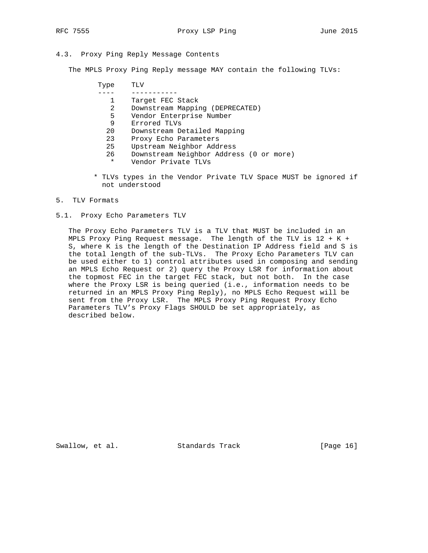## 4.3. Proxy Ping Reply Message Contents

The MPLS Proxy Ping Reply message MAY contain the following TLVs:

| Type | TLV                                     |
|------|-----------------------------------------|
|      |                                         |
|      | Target FEC Stack                        |
| 2    | Downstream Mapping (DEPRECATED)         |
| 5    | Vendor Enterprise Number                |
| 9    | Errored TLVs                            |
| 20   | Downstream Detailed Mapping             |
| 23   | Proxy Echo Parameters                   |
| 25   | Upstream Neighbor Address               |
| 26   | Downstream Neighbor Address (0 or more) |

- \* Vendor Private TLVs
- \* TLVs types in the Vendor Private TLV Space MUST be ignored if not understood

#### 5. TLV Formats

5.1. Proxy Echo Parameters TLV

 The Proxy Echo Parameters TLV is a TLV that MUST be included in an MPLS Proxy Ping Request message. The length of the TLV is 12 + K + S, where K is the length of the Destination IP Address field and S is the total length of the sub-TLVs. The Proxy Echo Parameters TLV can be used either to 1) control attributes used in composing and sending an MPLS Echo Request or 2) query the Proxy LSR for information about the topmost FEC in the target FEC stack, but not both. In the case where the Proxy LSR is being queried (i.e., information needs to be returned in an MPLS Proxy Ping Reply), no MPLS Echo Request will be sent from the Proxy LSR. The MPLS Proxy Ping Request Proxy Echo Parameters TLV's Proxy Flags SHOULD be set appropriately, as described below.

Swallow, et al. Standards Track [Page 16]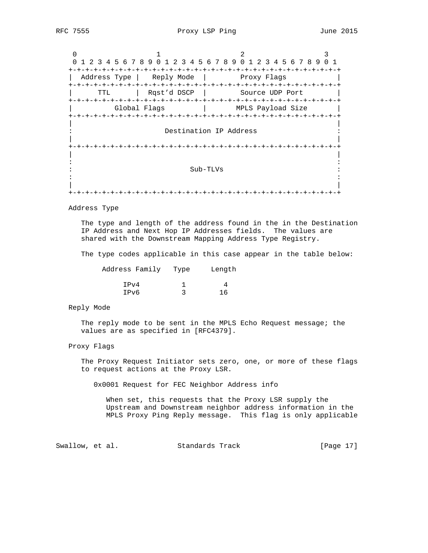RFC 7555 Proxy LSP Ping Proxy 15P Ping June 2015

0  $1$  2 3 0 1 2 3 4 5 6 7 8 9 0 1 2 3 4 5 6 7 8 9 0 1 2 3 4 5 6 7 8 9 0 1 +-+-+-+-+-+-+-+-+-+-+-+-+-+-+-+-+-+-+-+-+-+-+-+-+-+-+-+-+-+-+-+-+ | Address Type | Reply Mode | Proxy Flags +-+-+-+-+-+-+-+-+-+-+-+-+-+-+-+-+-+-+-+-+-+-+-+-+-+-+-+-+-+-+-+-+ | TTL | Rqst'd DSCP | Source UDP Port | +-+-+-+-+-+-+-+-+-+-+-+-+-+-+-+-+-+-+-+-+-+-+-+-+-+-+-+-+-+-+-+-+ | Global Flags | MPLS Payload Size | +-+-+-+-+-+-+-+-+-+-+-+-+-+-+-+-+-+-+-+-+-+-+-+-+-+-+-+-+-+-+-+-+ | | Destination IP Address | | +-+-+-+-+-+-+-+-+-+-+-+-+-+-+-+-+-+-+-+-+-+-+-+-+-+-+-+-+-+-+-+-+ | | in the second control of the second control of the second control of the second control of the second control o : Sub-TLVs : in the contract of the contract of the contract of the contract of the contract of the contract of the contract | | +-+-+-+-+-+-+-+-+-+-+-+-+-+-+-+-+-+-+-+-+-+-+-+-+-+-+-+-+-+-+-+-+

Address Type

The type and length of the address found in the in the Destination IP Address and Next Hop IP Addresses fields. The values are shared with the Downstream Mapping Address Type Registry.

The type codes applicable in this case appear in the table below:

| Address Family Type | Length |
|---------------------|--------|
| IPv4                |        |
| IPv6                |        |

## Reply Mode

 The reply mode to be sent in the MPLS Echo Request message; the values are as specified in [RFC4379].

#### Proxy Flags

 The Proxy Request Initiator sets zero, one, or more of these flags to request actions at the Proxy LSR.

0x0001 Request for FEC Neighbor Address info

 When set, this requests that the Proxy LSR supply the Upstream and Downstream neighbor address information in the MPLS Proxy Ping Reply message. This flag is only applicable

Swallow, et al. Standards Track [Page 17]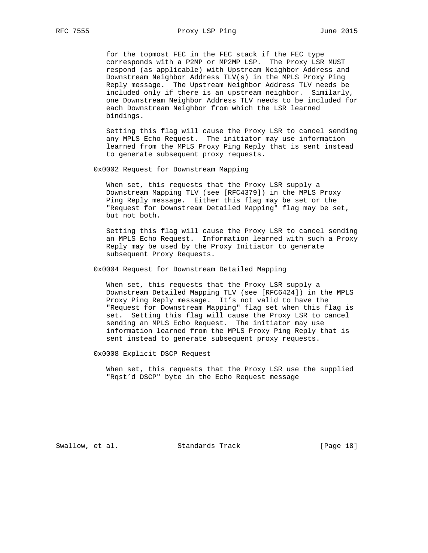for the topmost FEC in the FEC stack if the FEC type corresponds with a P2MP or MP2MP LSP. The Proxy LSR MUST respond (as applicable) with Upstream Neighbor Address and Downstream Neighbor Address TLV(s) in the MPLS Proxy Ping Reply message. The Upstream Neighbor Address TLV needs be included only if there is an upstream neighbor. Similarly, one Downstream Neighbor Address TLV needs to be included for each Downstream Neighbor from which the LSR learned bindings.

 Setting this flag will cause the Proxy LSR to cancel sending any MPLS Echo Request. The initiator may use information learned from the MPLS Proxy Ping Reply that is sent instead to generate subsequent proxy requests.

0x0002 Request for Downstream Mapping

 When set, this requests that the Proxy LSR supply a Downstream Mapping TLV (see [RFC4379]) in the MPLS Proxy Ping Reply message. Either this flag may be set or the "Request for Downstream Detailed Mapping" flag may be set, but not both.

 Setting this flag will cause the Proxy LSR to cancel sending an MPLS Echo Request. Information learned with such a Proxy Reply may be used by the Proxy Initiator to generate subsequent Proxy Requests.

0x0004 Request for Downstream Detailed Mapping

 When set, this requests that the Proxy LSR supply a Downstream Detailed Mapping TLV (see [RFC6424]) in the MPLS Proxy Ping Reply message. It's not valid to have the "Request for Downstream Mapping" flag set when this flag is set. Setting this flag will cause the Proxy LSR to cancel sending an MPLS Echo Request. The initiator may use information learned from the MPLS Proxy Ping Reply that is sent instead to generate subsequent proxy requests.

0x0008 Explicit DSCP Request

 When set, this requests that the Proxy LSR use the supplied "Rqst'd DSCP" byte in the Echo Request message

Swallow, et al. Standards Track [Page 18]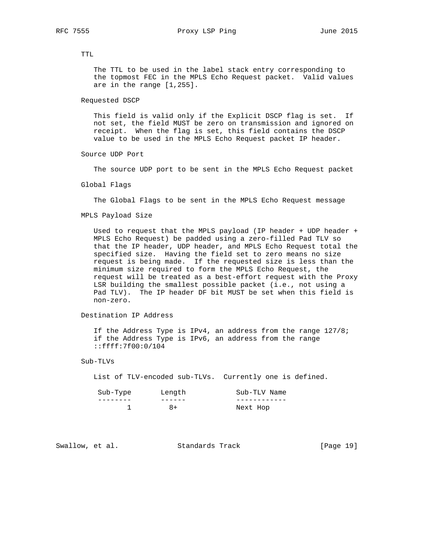TTL

 The TTL to be used in the label stack entry corresponding to the topmost FEC in the MPLS Echo Request packet. Valid values are in the range [1,255].

```
 Requested DSCP
```
 This field is valid only if the Explicit DSCP flag is set. If not set, the field MUST be zero on transmission and ignored on receipt. When the flag is set, this field contains the DSCP value to be used in the MPLS Echo Request packet IP header.

Source UDP Port

The source UDP port to be sent in the MPLS Echo Request packet

Global Flags

The Global Flags to be sent in the MPLS Echo Request message

MPLS Payload Size

 Used to request that the MPLS payload (IP header + UDP header + MPLS Echo Request) be padded using a zero-filled Pad TLV so that the IP header, UDP header, and MPLS Echo Request total the specified size. Having the field set to zero means no size request is being made. If the requested size is less than the minimum size required to form the MPLS Echo Request, the request will be treated as a best-effort request with the Proxy LSR building the smallest possible packet (i.e., not using a Pad TLV). The IP header DF bit MUST be set when this field is non-zero.

Destination IP Address

 If the Address Type is IPv4, an address from the range 127/8; if the Address Type is IPv6, an address from the range ::ffff:7f00:0/104

Sub-TLVs

List of TLV-encoded sub-TLVs. Currently one is defined.

| Sub-Type | Length | Sub-TLV Name |
|----------|--------|--------------|
|          |        |              |
|          | 8+     | Next Hop     |

Swallow, et al. Standards Track [Page 19]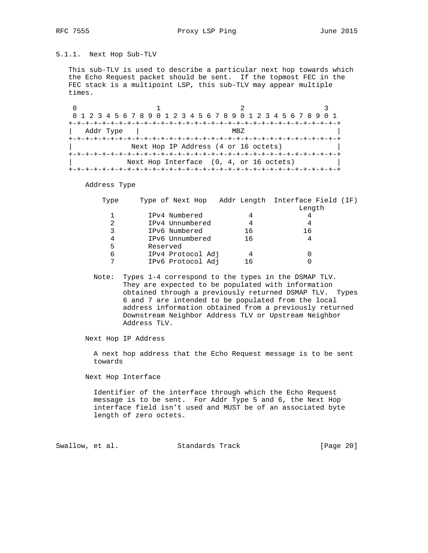# 5.1.1. Next Hop Sub-TLV

 This sub-TLV is used to describe a particular next hop towards which the Echo Request packet should be sent. If the topmost FEC in the FEC stack is a multipoint LSP, this sub-TLV may appear multiple times.

0  $1$   $2$   $3$  0 1 2 3 4 5 6 7 8 9 0 1 2 3 4 5 6 7 8 9 0 1 2 3 4 5 6 7 8 9 0 1 +-+-+-+-+-+-+-+-+-+-+-+-+-+-+-+-+-+-+-+-+-+-+-+-+-+-+-+-+-+-+-+-+ | Addr Type | MBZ +-+-+-+-+-+-+-+-+-+-+-+-+-+-+-+-+-+-+-+-+-+-+-+-+-+-+-+-+-+-+-+-+ Next Hop IP Address (4 or 16 octets) +-+-+-+-+-+-+-+-+-+-+-+-+-+-+-+-+-+-+-+-+-+-+-+-+-+-+-+-+-+-+-+-+ Next Hop Interface (0, 4, or 16 octets) +-+-+-+-+-+-+-+-+-+-+-+-+-+-+-+-+-+-+-+-+-+-+-+-+-+-+-+-+-+-+-+-+

Address Type

| Type | Type of Next Hop Addr Length Interface Field (IF) |     |        |  |
|------|---------------------------------------------------|-----|--------|--|
|      |                                                   |     | Length |  |
|      | IPv4 Numbered                                     |     |        |  |
|      | IPv4 Unnumbered                                   |     |        |  |
|      | IPv6 Numbered                                     | 16  | 16     |  |
|      | IPv6 Unnumbered                                   | 16  |        |  |
| 5    | Reserved                                          |     |        |  |
| 6    | IPv4 Protocol Adj                                 |     |        |  |
|      | IPv6 Protocol Adj                                 | 1 6 |        |  |
|      |                                                   |     |        |  |

 Note: Types 1-4 correspond to the types in the DSMAP TLV. They are expected to be populated with information obtained through a previously returned DSMAP TLV. Types 6 and 7 are intended to be populated from the local address information obtained from a previously returned Downstream Neighbor Address TLV or Upstream Neighbor Address TLV.

Next Hop IP Address

 A next hop address that the Echo Request message is to be sent towards

Next Hop Interface

 Identifier of the interface through which the Echo Request message is to be sent. For Addr Type 5 and 6, the Next Hop interface field isn't used and MUST be of an associated byte length of zero octets.

Swallow, et al. Standards Track [Page 20]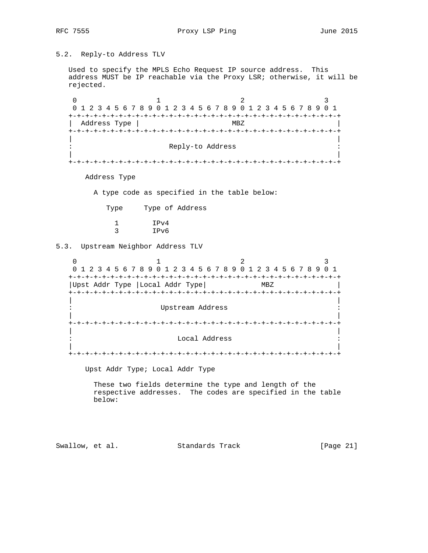# 5.2. Reply-to Address TLV

 Used to specify the MPLS Echo Request IP source address. This address MUST be IP reachable via the Proxy LSR; otherwise, it will be rejected.

0  $1$  2 3 0 1 2 3 4 5 6 7 8 9 0 1 2 3 4 5 6 7 8 9 0 1 2 3 4 5 6 7 8 9 0 1 +-+-+-+-+-+-+-+-+-+-+-+-+-+-+-+-+-+-+-+-+-+-+-+-+-+-+-+-+-+-+-+-+ | Address Type | MBZ +-+-+-+-+-+-+-+-+-+-+-+-+-+-+-+-+-+-+-+-+-+-+-+-+-+-+-+-+-+-+-+-+ | | Reply-to Address | | +-+-+-+-+-+-+-+-+-+-+-+-+-+-+-+-+-+-+-+-+-+-+-+-+-+-+-+-+-+-+-+-+

Address Type

A type code as specified in the table below:

Type Type of Address

|  | IPv4 |
|--|------|
|  | IPv6 |

5.3. Upstream Neighbor Address TLV

0  $1$  2 3 0 1 2 3 4 5 6 7 8 9 0 1 2 3 4 5 6 7 8 9 0 1 2 3 4 5 6 7 8 9 0 1 +-+-+-+-+-+-+-+-+-+-+-+-+-+-+-+-+-+-+-+-+-+-+-+-+-+-+-+-+-+-+-+-+ |Upst Addr Type | Local Addr Type | MBZ +-+-+-+-+-+-+-+-+-+-+-+-+-+-+-+-+-+-+-+-+-+-+-+-+-+-+-+-+-+-+-+-+ | | : Upstream Address : | | +-+-+-+-+-+-+-+-+-+-+-+-+-+-+-+-+-+-+-+-+-+-+-+-+-+-+-+-+-+-+-+-+ | | Local Address | | +-+-+-+-+-+-+-+-+-+-+-+-+-+-+-+-+-+-+-+-+-+-+-+-+-+-+-+-+-+-+-+-+

Upst Addr Type; Local Addr Type

 These two fields determine the type and length of the respective addresses. The codes are specified in the table below:

Swallow, et al. Standards Track [Page 21]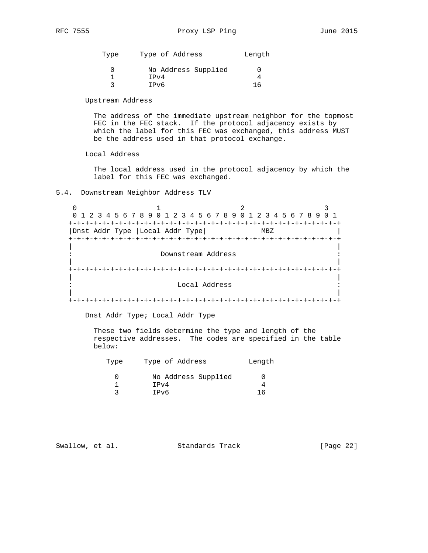Type Type of Address and Length 0 No Address Supplied 0  $1$  IPv4 4 3 IPv6 16

Upstream Address

 The address of the immediate upstream neighbor for the topmost FEC in the FEC stack. If the protocol adjacency exists by which the label for this FEC was exchanged, this address MUST be the address used in that protocol exchange.

Local Address

 The local address used in the protocol adjacency by which the label for this FEC was exchanged.

## 5.4. Downstream Neighbor Address TLV

0  $1$  2 3 0 1 2 3 4 5 6 7 8 9 0 1 2 3 4 5 6 7 8 9 0 1 2 3 4 5 6 7 8 9 0 1 +-+-+-+-+-+-+-+-+-+-+-+-+-+-+-+-+-+-+-+-+-+-+-+-+-+-+-+-+-+-+-+-+ | Dnst Addr Type | Local Addr Type | MBZ +-+-+-+-+-+-+-+-+-+-+-+-+-+-+-+-+-+-+-+-+-+-+-+-+-+-+-+-+-+-+-+-+ | | Downstream Address | | +-+-+-+-+-+-+-+-+-+-+-+-+-+-+-+-+-+-+-+-+-+-+-+-+-+-+-+-+-+-+-+-+ | | : Local Address : | | +-+-+-+-+-+-+-+-+-+-+-+-+-+-+-+-+-+-+-+-+-+-+-+-+-+-+-+-+-+-+-+-+

Dnst Addr Type; Local Addr Type

 These two fields determine the type and length of the respective addresses. The codes are specified in the table below:

| Type | Type of Address     | Length |
|------|---------------------|--------|
|      | No Address Supplied |        |
|      | IPv4                |        |
|      | IPv6                | 16     |

Swallow, et al. Standards Track [Page 22]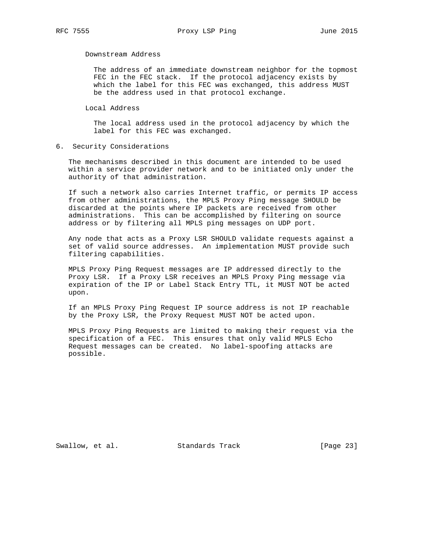Downstream Address

 The address of an immediate downstream neighbor for the topmost FEC in the FEC stack. If the protocol adjacency exists by which the label for this FEC was exchanged, this address MUST be the address used in that protocol exchange.

Local Address

 The local address used in the protocol adjacency by which the label for this FEC was exchanged.

6. Security Considerations

 The mechanisms described in this document are intended to be used within a service provider network and to be initiated only under the authority of that administration.

 If such a network also carries Internet traffic, or permits IP access from other administrations, the MPLS Proxy Ping message SHOULD be discarded at the points where IP packets are received from other administrations. This can be accomplished by filtering on source address or by filtering all MPLS ping messages on UDP port.

 Any node that acts as a Proxy LSR SHOULD validate requests against a set of valid source addresses. An implementation MUST provide such filtering capabilities.

 MPLS Proxy Ping Request messages are IP addressed directly to the Proxy LSR. If a Proxy LSR receives an MPLS Proxy Ping message via expiration of the IP or Label Stack Entry TTL, it MUST NOT be acted upon.

 If an MPLS Proxy Ping Request IP source address is not IP reachable by the Proxy LSR, the Proxy Request MUST NOT be acted upon.

 MPLS Proxy Ping Requests are limited to making their request via the specification of a FEC. This ensures that only valid MPLS Echo Request messages can be created. No label-spoofing attacks are possible.

Swallow, et al. Standards Track [Page 23]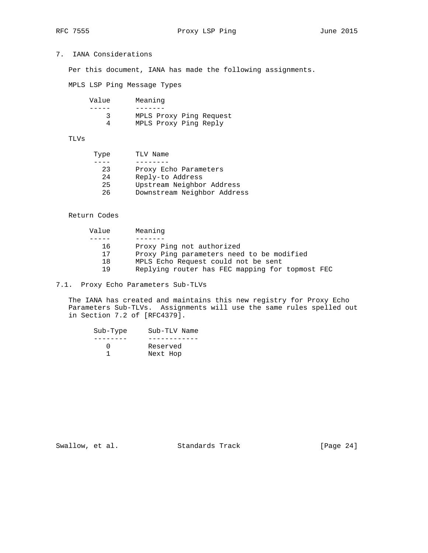# 7. IANA Considerations

Per this document, IANA has made the following assignments.

MPLS LSP Ping Message Types

| MPLS Proxy Ping Request |
|-------------------------|
| MPLS Proxy Ping Reply   |
|                         |

## TLVs

| Type | TLV Name                    |
|------|-----------------------------|
|      |                             |
| 23   | Proxy Echo Parameters       |
| 2.4  | Reply-to Address            |
| 25   | Upstream Neighbor Address   |
| 26   | Downstream Neighbor Address |
|      |                             |

## Return Codes

| Value | Meaning                                         |
|-------|-------------------------------------------------|
|       |                                                 |
| 16    | Proxy Ping not authorized                       |
| 17    | Proxy Ping parameters need to be modified       |
| 18    | MPLS Echo Request could not be sent             |
| 19    | Replying router has FEC mapping for topmost FEC |

# 7.1. Proxy Echo Parameters Sub-TLVs

 The IANA has created and maintains this new registry for Proxy Echo Parameters Sub-TLVs. Assignments will use the same rules spelled out in Section 7.2 of [RFC4379].

| Sub-Type | Sub-TLV Name |
|----------|--------------|
|          |              |
|          | Reserved     |
|          | Next Hop     |

Swallow, et al. Standards Track [Page 24]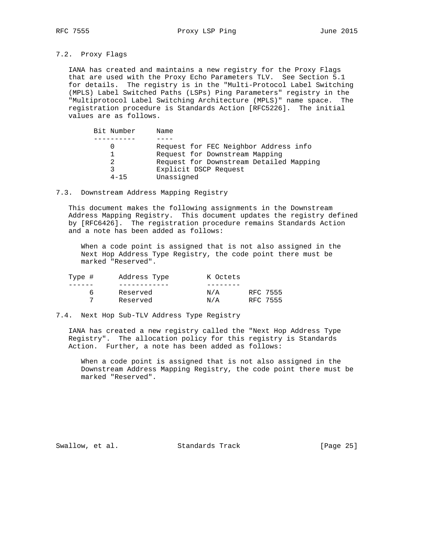## 7.2. Proxy Flags

 IANA has created and maintains a new registry for the Proxy Flags that are used with the Proxy Echo Parameters TLV. See Section 5.1 for details. The registry is in the "Multi-Protocol Label Switching (MPLS) Label Switched Paths (LSPs) Ping Parameters" registry in the "Multiprotocol Label Switching Architecture (MPLS)" name space. The registration procedure is Standards Action [RFC5226]. The initial values are as follows.

| Bit Number | Name                                    |
|------------|-----------------------------------------|
|            |                                         |
|            | Request for FEC Neighbor Address info   |
|            | Request for Downstream Mapping          |
|            | Request for Downstream Detailed Mapping |
|            | Explicit DSCP Request                   |
| $4 - 15$   | Unassigned                              |

## 7.3. Downstream Address Mapping Registry

 This document makes the following assignments in the Downstream Address Mapping Registry. This document updates the registry defined by [RFC6426]. The registration procedure remains Standards Action and a note has been added as follows:

 When a code point is assigned that is not also assigned in the Next Hop Address Type Registry, the code point there must be marked "Reserved".

| Type # | Address Type | K Octets |          |
|--------|--------------|----------|----------|
|        |              |          |          |
| h      | Reserved     | N/A      | RFC 7555 |
|        | Reserved     | N/A      | RFC 7555 |

## 7.4. Next Hop Sub-TLV Address Type Registry

 IANA has created a new registry called the "Next Hop Address Type Registry". The allocation policy for this registry is Standards Action. Further, a note has been added as follows:

 When a code point is assigned that is not also assigned in the Downstream Address Mapping Registry, the code point there must be marked "Reserved".

Swallow, et al. Standards Track [Page 25]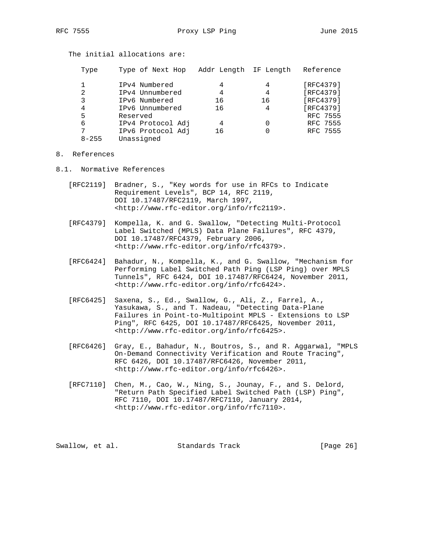RFC 7555 Proxy LSP Ping Proxy 15P Ping June 2015

| Type      | Type of Next Hop  | Addr Length IF Length |    | Reference       |
|-----------|-------------------|-----------------------|----|-----------------|
|           | IPv4 Numbered     |                       |    | [RFC4379]       |
|           |                   |                       |    |                 |
| 2         | IPv4 Unnumbered   | 4                     | 4  | [RFC4379]       |
| 3         | IPv6 Numbered     | 16                    | 16 | [RFC4379]       |
| 4         | IPv6 Unnumbered   | 16                    | 4  | [RFC4379]       |
| 5         | Reserved          |                       |    | <b>RFC 7555</b> |
| 6         | IPv4 Protocol Adj | 4                     |    | <b>RFC 7555</b> |
|           | IPv6 Protocol Adj | 16                    |    | <b>RFC 7555</b> |
| $8 - 255$ | Unassigned        |                       |    |                 |

# The initial allocations are:

## 8. References

- 8.1. Normative References
	- [RFC2119] Bradner, S., "Key words for use in RFCs to Indicate Requirement Levels", BCP 14, RFC 2119, DOI 10.17487/RFC2119, March 1997, <http://www.rfc-editor.org/info/rfc2119>.
	- [RFC4379] Kompella, K. and G. Swallow, "Detecting Multi-Protocol Label Switched (MPLS) Data Plane Failures", RFC 4379, DOI 10.17487/RFC4379, February 2006, <http://www.rfc-editor.org/info/rfc4379>.
	- [RFC6424] Bahadur, N., Kompella, K., and G. Swallow, "Mechanism for Performing Label Switched Path Ping (LSP Ping) over MPLS Tunnels", RFC 6424, DOI 10.17487/RFC6424, November 2011, <http://www.rfc-editor.org/info/rfc6424>.
	- [RFC6425] Saxena, S., Ed., Swallow, G., Ali, Z., Farrel, A., Yasukawa, S., and T. Nadeau, "Detecting Data-Plane Failures in Point-to-Multipoint MPLS - Extensions to LSP Ping", RFC 6425, DOI 10.17487/RFC6425, November 2011, <http://www.rfc-editor.org/info/rfc6425>.
	- [RFC6426] Gray, E., Bahadur, N., Boutros, S., and R. Aggarwal, "MPLS On-Demand Connectivity Verification and Route Tracing", RFC 6426, DOI 10.17487/RFC6426, November 2011, <http://www.rfc-editor.org/info/rfc6426>.
	- [RFC7110] Chen, M., Cao, W., Ning, S., Jounay, F., and S. Delord, "Return Path Specified Label Switched Path (LSP) Ping", RFC 7110, DOI 10.17487/RFC7110, January 2014, <http://www.rfc-editor.org/info/rfc7110>.

Swallow, et al. Standards Track [Page 26]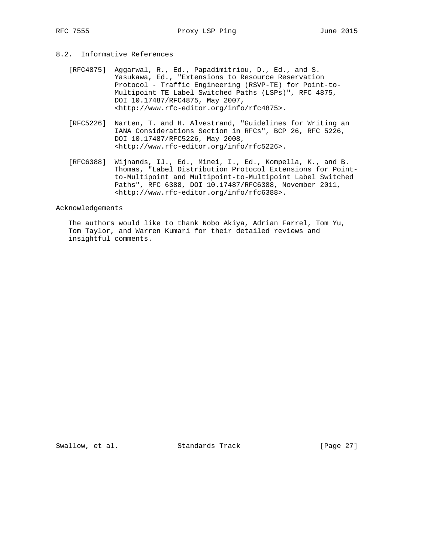# 8.2. Informative References

- [RFC4875] Aggarwal, R., Ed., Papadimitriou, D., Ed., and S. Yasukawa, Ed., "Extensions to Resource Reservation Protocol - Traffic Engineering (RSVP-TE) for Point-to- Multipoint TE Label Switched Paths (LSPs)", RFC 4875, DOI 10.17487/RFC4875, May 2007, <http://www.rfc-editor.org/info/rfc4875>.
- [RFC5226] Narten, T. and H. Alvestrand, "Guidelines for Writing an IANA Considerations Section in RFCs", BCP 26, RFC 5226, DOI 10.17487/RFC5226, May 2008, <http://www.rfc-editor.org/info/rfc5226>.
- [RFC6388] Wijnands, IJ., Ed., Minei, I., Ed., Kompella, K., and B. Thomas, "Label Distribution Protocol Extensions for Point to-Multipoint and Multipoint-to-Multipoint Label Switched Paths", RFC 6388, DOI 10.17487/RFC6388, November 2011, <http://www.rfc-editor.org/info/rfc6388>.

#### Acknowledgements

 The authors would like to thank Nobo Akiya, Adrian Farrel, Tom Yu, Tom Taylor, and Warren Kumari for their detailed reviews and insightful comments.

Swallow, et al. Standards Track [Page 27]